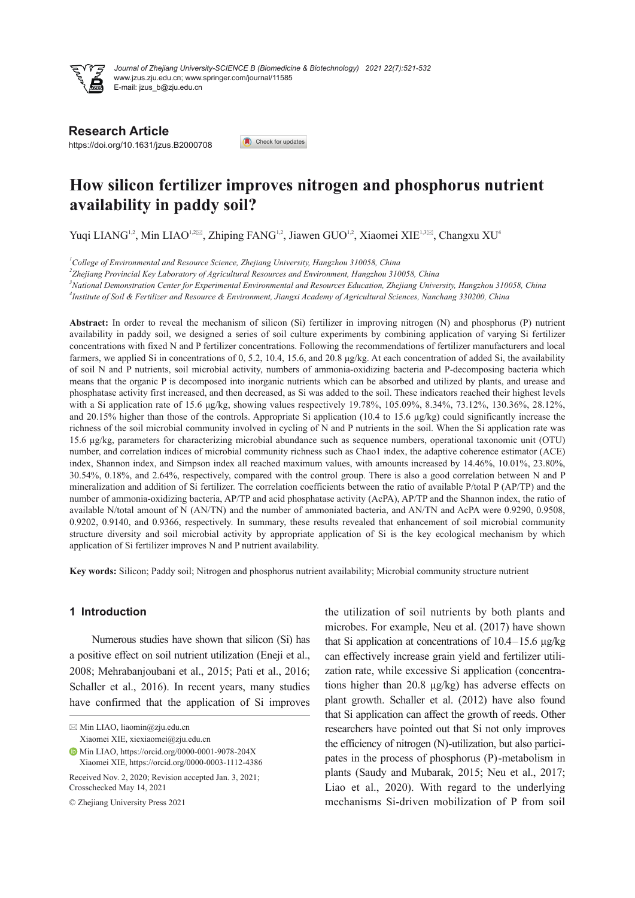

*Journal of Zhejiang University-SCIENCE B (Biomedicine & Biotechnology) 2021 22(7):521-532* www.jzus.zju.edu.cn; www.springer.com/journal/11585 E-mail: jzus\_b@zju.edu.cn

**Research Article**

https://doi.org/10.1631/jzus.B2000708

Check for updates

# **How silicon fertilizer improves nitrogen and phosphorus nutrient availability in paddy soil?**

Yuqi LIANG<sup>1,2</sup>, Min LIAO<sup>1,2⊠</sup>, Zhiping FANG<sup>1,2</sup>, Jiawen GUO<sup>1,2</sup>, Xiaomei XIE<sup>1,3⊠</sup>, Changxu XU<sup>4</sup>

*1 College of Environmental and Resource Science, Zhejiang University, Hangzhou 310058, China*

*2 Zhejiang Provincial Key Laboratory of Agricultural Resources and Environment, Hangzhou 310058, China*

<sup>3</sup>National Demonstration Center for Experimental Environmental and Resources Education, Zhejiang University, Hangzhou 310058, China <sup>4</sup>Institute of Soil & Fertilizer and Resource & Environment, Jiangxi Academy of Agricultural Sciences, Nanchang 330200, China

**Abstract:** In order to reveal the mechanism of silicon (Si) fertilizer in improving nitrogen (N) and phosphorus (P) nutrient availability in paddy soil, we designed a series of soil culture experiments by combining application of varying Si fertilizer concentrations with fixed N and P fertilizer concentrations. Following the recommendations of fertilizer manufacturers and local farmers, we applied Si in concentrations of 0, 5.2, 10.4, 15.6, and 20.8 μg/kg. At each concentration of added Si, the availability of soil N and P nutrients, soil microbial activity, numbers of ammonia-oxidizing bacteria and P-decomposing bacteria which means that the organic P is decomposed into inorganic nutrients which can be absorbed and utilized by plants, and urease and phosphatase activity first increased, and then decreased, as Si was added to the soil. These indicators reached their highest levels with a Si application rate of 15.6 μg/kg, showing values respectively 19.78%, 105.09%, 8.34%, 73.12%, 130.36%, 28.12%, and 20.15% higher than those of the controls. Appropriate Si application (10.4 to 15.6 µg/kg) could significantly increase the richness of the soil microbial community involved in cycling of N and P nutrients in the soil. When the Si application rate was 15.6 μg/kg, parameters for characterizing microbial abundance such as sequence numbers, operational taxonomic unit (OTU) number, and correlation indices of microbial community richness such as Chao1 index, the adaptive coherence estimator (ACE) index, Shannon index, and Simpson index all reached maximum values, with amounts increased by 14.46%, 10.01%, 23.80%, 30.54%, 0.18%, and 2.64%, respectively, compared with the control group. There is also a good correlation between N and P mineralization and addition of Si fertilizer. The correlation coefficients between the ratio of available P/total P (AP/TP) and the number of ammonia-oxidizing bacteria, AP/TP and acid phosphatase activity (AcPA), AP/TP and the Shannon index, the ratio of available N/total amount of N (AN/TN) and the number of ammoniated bacteria, and AN/TN and AcPA were 0.9290, 0.9508, 0.9202, 0.9140, and 0.9366, respectively. In summary, these results revealed that enhancement of soil microbial community structure diversity and soil microbial activity by appropriate application of Si is the key ecological mechanism by which application of Si fertilizer improves N and P nutrient availability.

**Key words:** Silicon; Paddy soil; Nitrogen and phosphorus nutrient availability; Microbial community structure nutrient

## **1 Introduction**

Numerous studies have shown that silicon (Si) has a positive effect on soil nutrient utilization (Eneji et al., 2008; Mehrabanjoubani et al., 2015; Pati et al., 2016; Schaller et al., 2016). In recent years, many studies have confirmed that the application of Si improves

 $\boxtimes$  Min LIAO, liaomin@zju.edu.cn Xiaomei XIE, xiexiaomei@zju.edu.cn

Min LIAO, https://orcid.org/0000-0001-9078-204X Xiaomei XIE, https://orcid.org/0000-0003-1112-4386

Received Nov. 2, 2020; Revision accepted Jan. 3, 2021; Crosschecked May 14, 2021

© Zhejiang University Press 2021

the utilization of soil nutrients by both plants and microbes. For example, Neu et al. (2017) have shown that Si application at concentrations of 10.4–15.6 μg/kg can effectively increase grain yield and fertilizer utili‐ zation rate, while excessive Si application (concentra‐ tions higher than 20.8 μg/kg) has adverse effects on plant growth. Schaller et al. (2012) have also found that Si application can affect the growth of reeds. Other researchers have pointed out that Si not only improves the efficiency of nitrogen (N)-utilization, but also partici‐ pates in the process of phosphorus (P)-metabolism in plants (Saudy and Mubarak, 2015; Neu et al., 2017; Liao et al., 2020). With regard to the underlying mechanisms Si-driven mobilization of P from soil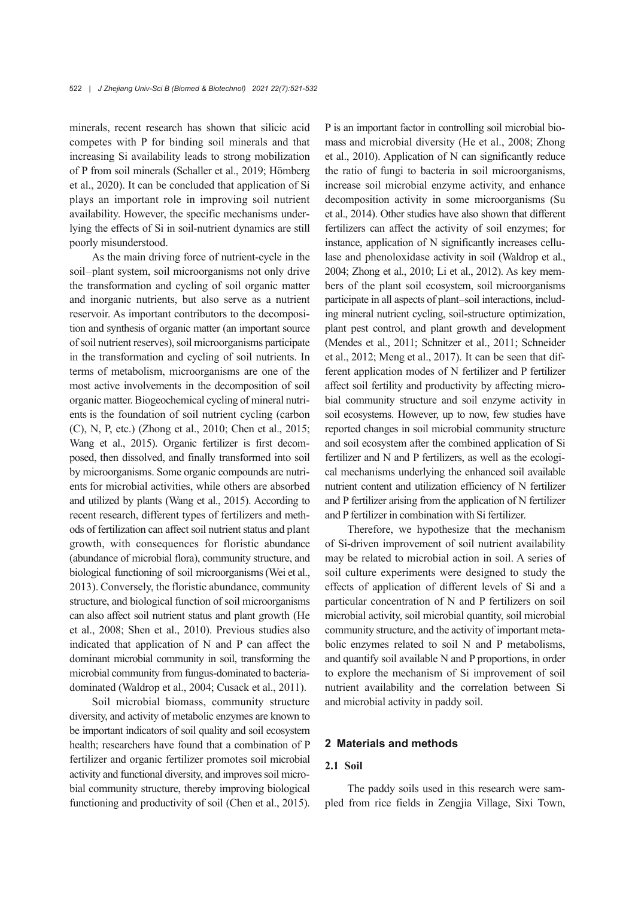minerals, recent research has shown that silicic acid competes with P for binding soil minerals and that increasing Si availability leads to strong mobilization of P from soil minerals (Schaller et al., 2019; Hömberg et al., 2020). It can be concluded that application of Si plays an important role in improving soil nutrient availability. However, the specific mechanisms under‐ lying the effects of Si in soil-nutrient dynamics are still poorly misunderstood.

As the main driving force of nutrient-cycle in the soil-plant system, soil microorganisms not only drive the transformation and cycling of soil organic matter and inorganic nutrients, but also serve as a nutrient reservoir. As important contributors to the decomposition and synthesis of organic matter (an important source of soil nutrient reserves), soil microorganisms participate in the transformation and cycling of soil nutrients. In terms of metabolism, microorganisms are one of the most active involvements in the decomposition of soil organic matter. Biogeochemical cycling of mineral nutri‐ ents is the foundation of soil nutrient cycling (carbon (C), N, P, etc.) (Zhong et al., 2010; Chen et al., 2015; Wang et al., 2015). Organic fertilizer is first decomposed, then dissolved, and finally transformed into soil by microorganisms. Some organic compounds are nutri‐ ents for microbial activities, while others are absorbed and utilized by plants (Wang et al., 2015). According to recent research, different types of fertilizers and meth‐ ods of fertilization can affect soil nutrient status and plant growth, with consequences for floristic abundance (abundance of microbial flora), community structure, and biological functioning of soil microorganisms(Wei et al., 2013). Conversely, the floristic abundance, community structure, and biological function of soil microorganisms can also affect soil nutrient status and plant growth (He et al., 2008; Shen et al., 2010). Previous studies also indicated that application of N and P can affect the dominant microbial community in soil, transforming the microbial community from fungus-dominated to bacteriadominated (Waldrop et al., 2004; Cusack et al., 2011).

Soil microbial biomass, community structure diversity, and activity of metabolic enzymes are known to be important indicators of soil quality and soil ecosystem health; researchers have found that a combination of P fertilizer and organic fertilizer promotes soil microbial activity and functional diversity, and improves soil micro‐ bial community structure, thereby improving biological functioning and productivity of soil (Chen et al., 2015).

P is an important factor in controlling soil microbial bio‐ mass and microbial diversity (He et al., 2008; Zhong et al., 2010). Application of N can significantly reduce the ratio of fungi to bacteria in soil microorganisms, increase soil microbial enzyme activity, and enhance decomposition activity in some microorganisms (Su et al., 2014). Other studies have also shown that different fertilizers can affect the activity of soil enzymes; for instance, application of N significantly increases cellulase and phenoloxidase activity in soil (Waldrop et al., 2004; Zhong et al., 2010; Li et al., 2012). As key mem‐ bers of the plant soil ecosystem, soil microorganisms participate in all aspects of plant-soil interactions, including mineral nutrient cycling, soil-structure optimization, plant pest control, and plant growth and development (Mendes et al., 2011; Schnitzer et al., 2011; Schneider et al., 2012; Meng et al., 2017). It can be seen that dif‐ ferent application modes of N fertilizer and P fertilizer affect soil fertility and productivity by affecting micro‐ bial community structure and soil enzyme activity in soil ecosystems. However, up to now, few studies have reported changes in soil microbial community structure and soil ecosystem after the combined application of Si fertilizer and N and P fertilizers, as well as the ecological mechanisms underlying the enhanced soil available nutrient content and utilization efficiency of N fertilizer and P fertilizer arising from the application of N fertilizer and P fertilizer in combination with Si fertilizer.

Therefore, we hypothesize that the mechanism of Si-driven improvement of soil nutrient availability may be related to microbial action in soil. A series of soil culture experiments were designed to study the effects of application of different levels of Si and a particular concentration of N and P fertilizers on soil microbial activity, soil microbial quantity, soil microbial community structure, and the activity of important metabolic enzymes related to soil N and P metabolisms, and quantify soil available N and P proportions, in order to explore the mechanism of Si improvement of soil nutrient availability and the correlation between Si and microbial activity in paddy soil.

#### **2 Materials and methods**

## **2.1 Soil**

The paddy soils used in this research were sampled from rice fields in Zengjia Village, Sixi Town,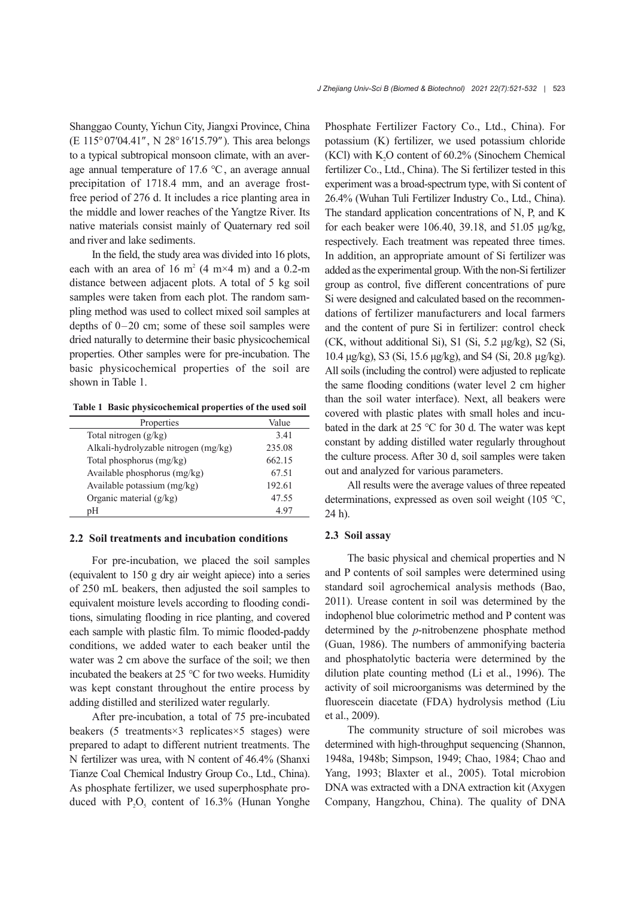Shanggao County, Yichun City, Jiangxi Province, China (E 115°07′04.41″, N 28°16′15.79″). This area belongs to a typical subtropical monsoon climate, with an aver‐ age annual temperature of 17.6 ℃, an average annual precipitation of 1718.4 mm, and an average frostfree period of 276 d. It includes a rice planting area in the middle and lower reaches of the Yangtze River. Its native materials consist mainly of Quaternary red soil and river and lake sediments.

In the field, the study area was divided into 16 plots, each with an area of 16 m<sup>2</sup> (4 m×4 m) and a 0.2-m distance between adjacent plots. A total of 5 kg soil samples were taken from each plot. The random sampling method was used to collect mixed soil samples at depths of 0–20 cm; some of these soil samples were dried naturally to determine their basic physicochemical properties. Other samples were for pre-incubation. The basic physicochemical properties of the soil are shown in Table 1.

**Table 1 Basic physicochemical properties of the used soil**

| Properties                           | Value  |
|--------------------------------------|--------|
| Total nitrogen (g/kg)                | 3.41   |
| Alkali-hydrolyzable nitrogen (mg/kg) | 235.08 |
| Total phosphorus (mg/kg)             | 662.15 |
| Available phosphorus (mg/kg)         | 67.51  |
| Available potassium $(mg/kg)$        | 192.61 |
| Organic material (g/kg)              | 47.55  |
| pН                                   | 4.97   |
|                                      |        |

#### **2.2 Soil treatments and incubation conditions**

For pre-incubation, we placed the soil samples (equivalent to 150 g dry air weight apiece) into a series of 250 mL beakers, then adjusted the soil samples to equivalent moisture levels according to flooding condi‐ tions, simulating flooding in rice planting, and covered each sample with plastic film. To mimic flooded-paddy conditions, we added water to each beaker until the water was 2 cm above the surface of the soil; we then incubated the beakers at 25 ℃ for two weeks. Humidity was kept constant throughout the entire process by adding distilled and sterilized water regularly.

After pre-incubation, a total of 75 pre-incubated beakers (5 treatments×3 replicates×5 stages) were prepared to adapt to different nutrient treatments. The N fertilizer was urea, with N content of 46.4% (Shanxi Tianze Coal Chemical Industry Group Co., Ltd., China). As phosphate fertilizer, we used superphosphate pro‐ duced with  $P_2O_5$  content of 16.3% (Hunan Yonghe

Phosphate Fertilizer Factory Co., Ltd., China). For potassium (K) fertilizer, we used potassium chloride (KCl) with  $K<sub>2</sub>O$  content of 60.2% (Sinochem Chemical fertilizer Co., Ltd., China). The Si fertilizer tested in this experiment was a broad-spectrum type, with Si content of 26.4% (Wuhan Tuli Fertilizer Industry Co., Ltd., China). The standard application concentrations of N, P, and K for each beaker were 106.40, 39.18, and 51.05 μg/kg, respectively. Each treatment was repeated three times. In addition, an appropriate amount of Si fertilizer was added as the experimental group.With the non-Si fertilizer group as control, five different concentrations of pure Si were designed and calculated based on the recommen‐ dations of fertilizer manufacturers and local farmers and the content of pure Si in fertilizer: control check (CK, without additional Si), S1 (Si, 5.2 μg/kg), S2 (Si, 10.4 μg/kg), S3 (Si, 15.6 μg/kg), and S4 (Si, 20.8 μg/kg). All soils (including the control) were adjusted to replicate the same flooding conditions (water level 2 cm higher than the soil water interface). Next, all beakers were covered with plastic plates with small holes and incubated in the dark at 25 ℃ for 30 d. The water was kept constant by adding distilled water regularly throughout the culture process. After 30 d, soil samples were taken out and analyzed for various parameters.

All results were the average values of three repeated determinations, expressed as oven soil weight (105 ℃, 24 h).

#### **2.3 Soil assay**

The basic physical and chemical properties and N and P contents of soil samples were determined using standard soil agrochemical analysis methods (Bao, 2011). Urease content in soil was determined by the indophenol blue colorimetric method and P content was determined by the *p*-nitrobenzene phosphate method (Guan, 1986). The numbers of ammonifying bacteria and phosphatolytic bacteria were determined by the dilution plate counting method (Li et al., 1996). The activity of soil microorganisms was determined by the fluorescein diacetate (FDA) hydrolysis method (Liu et al., 2009).

The community structure of soil microbes was determined with high-throughput sequencing (Shannon, 1948a, 1948b; Simpson, 1949; Chao, 1984; Chao and Yang, 1993; Blaxter et al., 2005). Total microbion DNA was extracted with a DNA extraction kit (Axygen Company, Hangzhou, China). The quality of DNA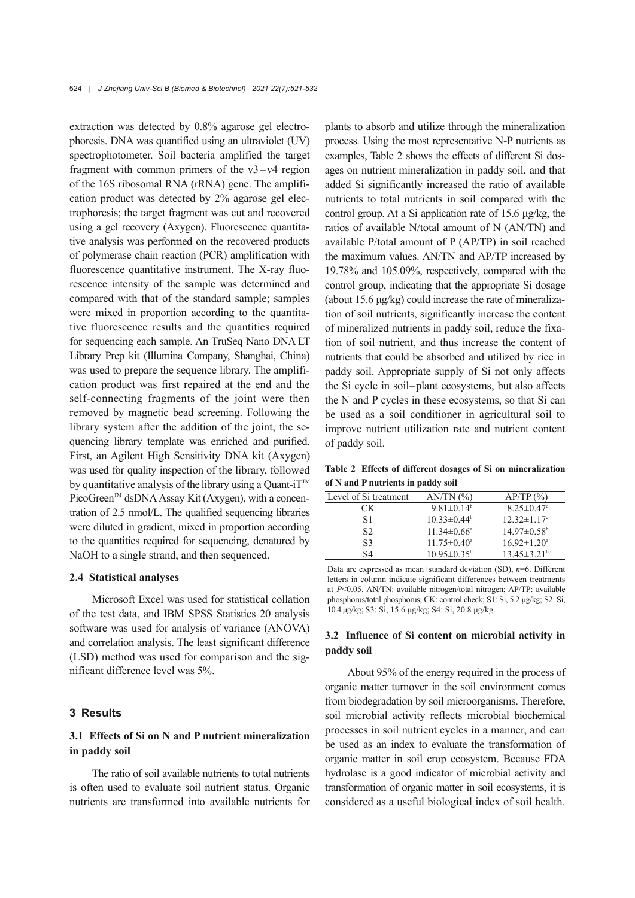extraction was detected by 0.8% agarose gel electrophoresis. DNA was quantified using an ultraviolet (UV) spectrophotometer. Soil bacteria amplified the target fragment with common primers of the  $v3-v4$  region of the 16S ribosomal RNA (rRNA) gene. The amplifi‐ cation product was detected by 2% agarose gel elec‐ trophoresis; the target fragment was cut and recovered using a gel recovery (Axygen). Fluorescence quantita‐ tive analysis was performed on the recovered products of polymerase chain reaction (PCR) amplification with fluorescence quantitative instrument. The X-ray fluo‐ rescence intensity of the sample was determined and compared with that of the standard sample; samples were mixed in proportion according to the quantitative fluorescence results and the quantities required for sequencing each sample. An TruSeq Nano DNA LT Library Prep kit (Illumina Company, Shanghai, China) was used to prepare the sequence library. The amplification product was first repaired at the end and the self-connecting fragments of the joint were then removed by magnetic bead screening. Following the library system after the addition of the joint, the se‐ quencing library template was enriched and purified. First, an Agilent High Sensitivity DNA kit (Axygen) was used for quality inspection of the library, followed by quantitative analysis of the library using a Quant-i $T^{M}$ PicoGreen™ dsDNA Assay Kit (Axygen), with a concentration of 2.5 nmol/L. The qualified sequencing libraries were diluted in gradient, mixed in proportion according to the quantities required for sequencing, denatured by NaOH to a single strand, and then sequenced.

#### **2.4 Statistical analyses**

Microsoft Excel was used for statistical collation of the test data, and IBM SPSS Statistics 20 analysis software was used for analysis of variance (ANOVA) and correlation analysis. The least significant difference (LSD) method was used for comparison and the sig‐ nificant difference level was 5%.

#### **3 Results**

## **3.1 Effects of Si on N and P nutrient mineralization in paddy soil**

The ratio of soil available nutrients to total nutrients is often used to evaluate soil nutrient status. Organic nutrients are transformed into available nutrients for

plants to absorb and utilize through the mineralization process. Using the most representative N-P nutrients as examples, Table 2 shows the effects of different Si dos‐ ages on nutrient mineralization in paddy soil, and that added Si significantly increased the ratio of available nutrients to total nutrients in soil compared with the control group. At a Si application rate of 15.6 μg/kg, the ratios of available N/total amount of N (AN/TN) and available P/total amount of P (AP/TP) in soil reached the maximum values. AN/TN and AP/TP increased by 19.78% and 105.09%, respectively, compared with the control group, indicating that the appropriate Si dosage (about  $15.6 \mu g/kg$ ) could increase the rate of mineralization of soil nutrients, significantly increase the content of mineralized nutrients in paddy soil, reduce the fixa‐ tion of soil nutrient, and thus increase the content of nutrients that could be absorbed and utilized by rice in paddy soil. Appropriate supply of Si not only affects the Si cycle in soil‒plant ecosystems, but also affects the N and P cycles in these ecosystems, so that Si can be used as a soil conditioner in agricultural soil to improve nutrient utilization rate and nutrient content of paddy soil.

**Table 2 Effects of different dosages of Si on mineralization of N and P nutrients in paddy soil**

| Level of Si treatment | $AN/TN$ $(\%)$           | AP/TP(%)                       |
|-----------------------|--------------------------|--------------------------------|
| CК                    | $9.81 \pm 0.14^b$        | $8.25 \pm 0.47$ <sup>d</sup>   |
| S1                    | $10.33 \pm 0.44^b$       | $12.32 \pm 1.17$ °             |
| S <sub>2</sub>        | $11.34 \pm 0.66^{\circ}$ | $14.97 \pm 0.58$ <sup>b</sup>  |
| S <sub>3</sub>        | $11.75 \pm 0.40^{\circ}$ | $16.92 \pm 1.20^{\circ}$       |
| S4                    | $10.95 \pm 0.35^{\circ}$ | $13.45 \pm 3.21$ <sup>bc</sup> |
|                       |                          |                                |

Data are expressed as mean±standard deviation (SD), *n*=6. Different letters in column indicate significant differences between treatments at *P*<0.05. AN/TN: available nitrogen/total nitrogen; AP/TP: available phosphorus/total phosphorus; CK: control check; S1: Si, 5.2 μg/kg; S2: Si, 10.4 μg/kg; S3: Si, 15.6 μg/kg; S4: Si, 20.8 μg/kg.

## **3.2 Influence of Si content on microbial activity in paddy soil**

About 95% of the energy required in the process of organic matter turnover in the soil environment comes from biodegradation by soil microorganisms. Therefore, soil microbial activity reflects microbial biochemical processes in soil nutrient cycles in a manner, and can be used as an index to evaluate the transformation of organic matter in soil crop ecosystem. Because FDA hydrolase is a good indicator of microbial activity and transformation of organic matter in soil ecosystems, it is considered as a useful biological index of soil health.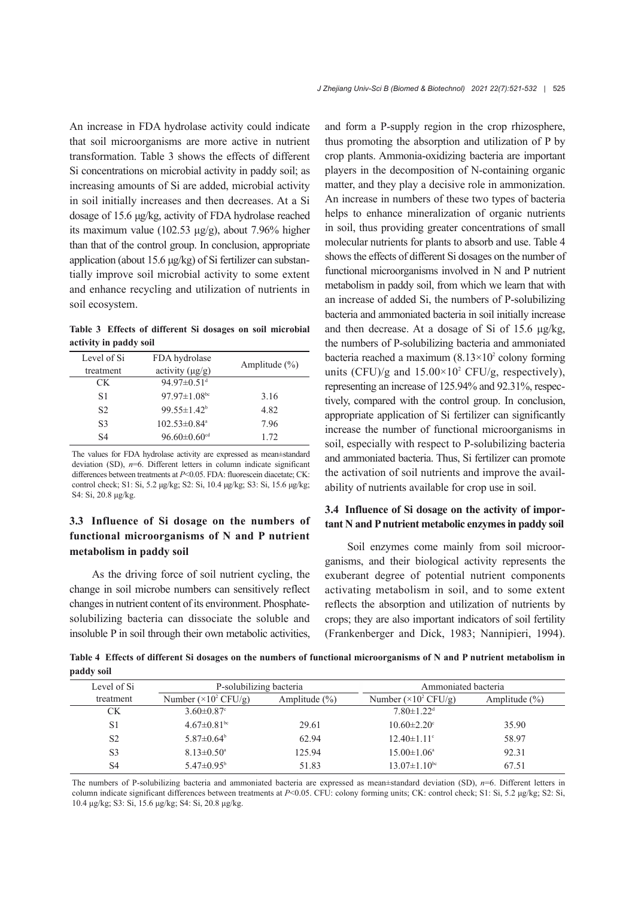An increase in FDA hydrolase activity could indicate that soil microorganisms are more active in nutrient transformation. Table 3 shows the effects of different Si concentrations on microbial activity in paddy soil; as increasing amounts of Si are added, microbial activity in soil initially increases and then decreases. At a Si dosage of 15.6 μg/kg, activity of FDA hydrolase reached its maximum value (102.53  $\mu$ g/g), about 7.96% higher than that of the control group. In conclusion, appropriate application (about 15.6 μg/kg) of Si fertilizer can substan‐ tially improve soil microbial activity to some extent and enhance recycling and utilization of nutrients in soil ecosystem.

**Table 3 Effects of different Si dosages on soil microbial activity in paddy soil**

| Level of Si<br>treatment | FDA hydrolase<br>activity $(\mu g/g)$ | Amplitude $(\% )$ |
|--------------------------|---------------------------------------|-------------------|
| CK.                      | 94.97 $\pm$ 0.51 <sup>d</sup>         |                   |
| S1                       | 97.97 $\pm$ 1.08 <sup>bc</sup>        | 3.16              |
| S <sub>2</sub>           | $99.55 \pm 1.42^b$                    | 4.82              |
| S3                       | $102.53 \pm 0.84$ <sup>a</sup>        | 7.96              |
| S <sub>4</sub>           | $96.60 \pm 0.60$ <sup>cd</sup>        | 1.72.             |

The values for FDA hydrolase activity are expressed as mean±standard deviation (SD),  $n=6$ . Different letters in column indicate significant differences between treatments at *P*<0.05. FDA: fluorescein diacetate; CK: control check; S1: Si, 5.2 μg/kg; S2: Si, 10.4 μg/kg; S3: Si, 15.6 μg/kg; S4: Si, 20.8 μg/kg.

## **3.3 Influence of Si dosage on the numbers of functional microorganisms of N and P nutrient metabolism in paddy soil**

As the driving force of soil nutrient cycling, the change in soil microbe numbers can sensitively reflect changes in nutrient content of its environment. Phosphatesolubilizing bacteria can dissociate the soluble and insoluble P in soil through their own metabolic activities,

and form a P-supply region in the crop rhizosphere, thus promoting the absorption and utilization of P by crop plants. Ammonia-oxidizing bacteria are important players in the decomposition of N-containing organic matter, and they play a decisive role in ammonization. An increase in numbers of these two types of bacteria helps to enhance mineralization of organic nutrients in soil, thus providing greater concentrations of small molecular nutrients for plants to absorb and use. Table 4 shows the effects of different Si dosages on the number of functional microorganisms involved in N and P nutrient metabolism in paddy soil, from which we learn that with an increase of added Si, the numbers of P-solubilizing bacteria and ammoniated bacteria in soil initially increase and then decrease. At a dosage of Si of 15.6 μg/kg, the numbers of P-solubilizing bacteria and ammoniated bacteria reached a maximum  $(8.13\times10^2 \text{ colony forming})$ units (CFU)/g and  $15.00 \times 10^2$  CFU/g, respectively), representing an increase of 125.94% and 92.31%, respec‐ tively, compared with the control group. In conclusion, appropriate application of Si fertilizer can significantly increase the number of functional microorganisms in soil, especially with respect to P-solubilizing bacteria and ammoniated bacteria. Thus, Si fertilizer can promote the activation of soil nutrients and improve the avail‐ ability of nutrients available for crop use in soil.

## **3.4 Influence of Si dosage on the activity of impor‐ tant N and P nutrient metabolic enzymes in paddy soil**

Soil enzymes come mainly from soil microor‐ ganisms, and their biological activity represents the exuberant degree of potential nutrient components activating metabolism in soil, and to some extent reflects the absorption and utilization of nutrients by crops; they are also important indicators of soil fertility (Frankenberger and Dick, 1983; Nannipieri, 1994).

**Table 4 Effects of different Si dosages on the numbers of functional microorganisms of N and P nutrient metabolism in paddy soil**

| Level of Si    | P-solubilizing bacteria              |                   | Ammoniated bacteria                  |                   |
|----------------|--------------------------------------|-------------------|--------------------------------------|-------------------|
| treatment      | Number $(\times 10^2 \text{ CFU/g})$ | Amplitude $(\% )$ | Number $(\times 10^2 \text{ CFU/g})$ | Amplitude $(\% )$ |
| СK             | $3.60 \pm 0.87$ °                    |                   | $7.80 \pm 1.22$ <sup>d</sup>         |                   |
| S <sub>1</sub> | $4.67 \pm 0.81$ <sup>bc</sup>        | 29.61             | $10.60 \pm 2.20$ °                   | 35.90             |
| S <sub>2</sub> | $5.87 \pm 0.64^{\circ}$              | 62.94             | $12.40 \pm 1.11$ °                   | 58.97             |
| S <sub>3</sub> | $8.13 \pm 0.50^{\circ}$              | 125.94            | $15.00 \pm 1.06^{\circ}$             | 92.31             |
| S <sub>4</sub> | $5.47 \pm 0.95^{\circ}$              | 51.83             | $13.07 \pm 1.10^{bc}$                | 67.51             |

The numbers of P-solubilizing bacteria and ammoniated bacteria are expressed as mean±standard deviation (SD), *n*=6. Different letters in column indicate significant differences between treatments at *P*<0.05. CFU: colony forming units; CK: control check; S1: Si, 5.2 μg/kg; S2: Si, 10.4 μg/kg; S3: Si, 15.6 μg/kg; S4: Si, 20.8 μg/kg.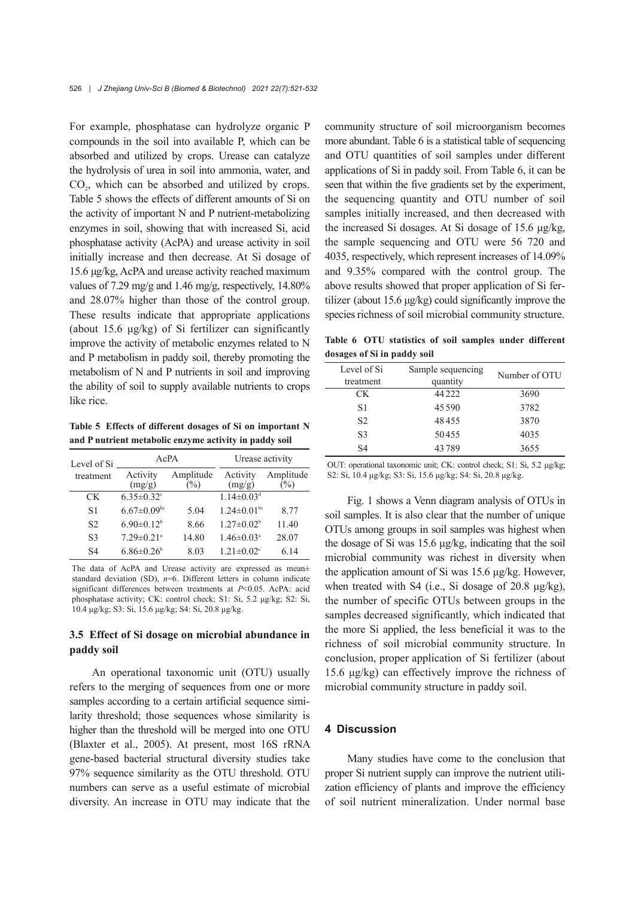For example, phosphatase can hydrolyze organic P compounds in the soil into available P, which can be absorbed and utilized by crops. Urease can catalyze the hydrolysis of urea in soil into ammonia, water, and CO<sub>2</sub>, which can be absorbed and utilized by crops. Table 5 shows the effects of different amounts of Si on the activity of important N and P nutrient-metabolizing enzymes in soil, showing that with increased Si, acid phosphatase activity (AcPA) and urease activity in soil initially increase and then decrease. At Si dosage of 15.6 μg/kg, AcPA and urease activity reached maximum values of 7.29 mg/g and 1.46 mg/g, respectively, 14.80% and 28.07% higher than those of the control group. These results indicate that appropriate applications (about 15.6 μg/kg) of Si fertilizer can significantly improve the activity of metabolic enzymes related to N and P metabolism in paddy soil, thereby promoting the metabolism of N and P nutrients in soil and improving the ability of soil to supply available nutrients to crops like rice.

**Table 5 Effects of different dosages of Si on important N and P nutrient metabolic enzyme activity in paddy soil**

| Level of Si    | AcPA                         |                     | Urease activity               |                   |
|----------------|------------------------------|---------------------|-------------------------------|-------------------|
| treatment      | Activity<br>(mg/g)           | Amplitude<br>$(\%)$ | Activity<br>(mg/g)            | Amplitude<br>$\%$ |
| CK.            | $6.35 \pm 0.32$ °            |                     | $1.14 \pm 0.03$ <sup>d</sup>  |                   |
| S <sub>1</sub> | $6.67 \pm 0.09$ bc           | 5.04                | $1.24 \pm 0.01$ <sup>bc</sup> | 8.77              |
| S <sub>2</sub> | $6.90 \pm 0.12$ <sup>b</sup> | 8.66                | $1.27 \pm 0.02^b$             | 11.40             |
| S <sub>3</sub> | $7.29 \pm 0.21$ <sup>a</sup> | 14.80               | $1.46 \pm 0.03$ <sup>a</sup>  | 28.07             |
| S <sub>4</sub> | $6.86 \pm 0.26$              | 8.03                | $1.21 \pm 0.02$ <sup>c</sup>  | 6.14              |

The data of AcPA and Urease activity are expressed as mean± standard deviation (SD),  $n=6$ . Different letters in column indicate significant differences between treatments at *P*<0.05. AcPA: acid phosphatase activity; CK: control check; S1: Si, 5.2 μg/kg; S2: Si, 10.4 μg/kg; S3: Si, 15.6 μg/kg; S4: Si, 20.8 μg/kg.

## **3.5 Effect of Si dosage on microbial abundance in paddy soil**

An operational taxonomic unit (OTU) usually refers to the merging of sequences from one or more samples according to a certain artificial sequence similarity threshold; those sequences whose similarity is higher than the threshold will be merged into one OTU (Blaxter et al., 2005). At present, most 16S rRNA gene-based bacterial structural diversity studies take 97% sequence similarity as the OTU threshold. OTU numbers can serve as a useful estimate of microbial diversity. An increase in OTU may indicate that the community structure of soil microorganism becomes more abundant. Table 6 is a statistical table of sequencing and OTU quantities of soil samples under different applications of Si in paddy soil. From Table 6, it can be seen that within the five gradients set by the experiment, the sequencing quantity and OTU number of soil samples initially increased, and then decreased with the increased Si dosages. At Si dosage of 15.6 μg/kg, the sample sequencing and OTU were 56 720 and 4035, respectively, which represent increases of 14.09% and 9.35% compared with the control group. The above results showed that proper application of Si fer‐ tilizer (about 15.6 μg/kg) could significantly improve the species richness of soil microbial community structure.

**Table 6 OTU statistics of soil samples under different dosages of Si in paddy soil**

| Level of Si<br>treatment | Sample sequencing<br>quantity | Number of OTU |
|--------------------------|-------------------------------|---------------|
| CK.                      | 44 2 2 2                      | 3690          |
| S <sub>1</sub>           | 45.590                        | 3782          |
| S <sub>2</sub>           | 48455                         | 3870          |
| S <sub>3</sub>           | 50455                         | 4035          |
| S <sub>4</sub>           | 43789                         | 3655          |

OUT: operational taxonomic unit; CK: control check; S1: Si, 5.2 μg/kg; S2: Si, 10.4 μg/kg; S3: Si, 15.6 μg/kg; S4: Si, 20.8 μg/kg.

Fig. 1 shows a Venn diagram analysis of OTUs in soil samples. It is also clear that the number of unique OTUs among groups in soil samples was highest when the dosage of Si was 15.6 μg/kg, indicating that the soil microbial community was richest in diversity when the application amount of Si was 15.6 μg/kg. However, when treated with S4 (i.e., Si dosage of 20.8 μg/kg), the number of specific OTUs between groups in the samples decreased significantly, which indicated that the more Si applied, the less beneficial it was to the richness of soil microbial community structure. In conclusion, proper application of Si fertilizer (about 15.6 μg/kg) can effectively improve the richness of microbial community structure in paddy soil.

## **4 Discussion**

Many studies have come to the conclusion that proper Si nutrient supply can improve the nutrient utilization efficiency of plants and improve the efficiency of soil nutrient mineralization. Under normal base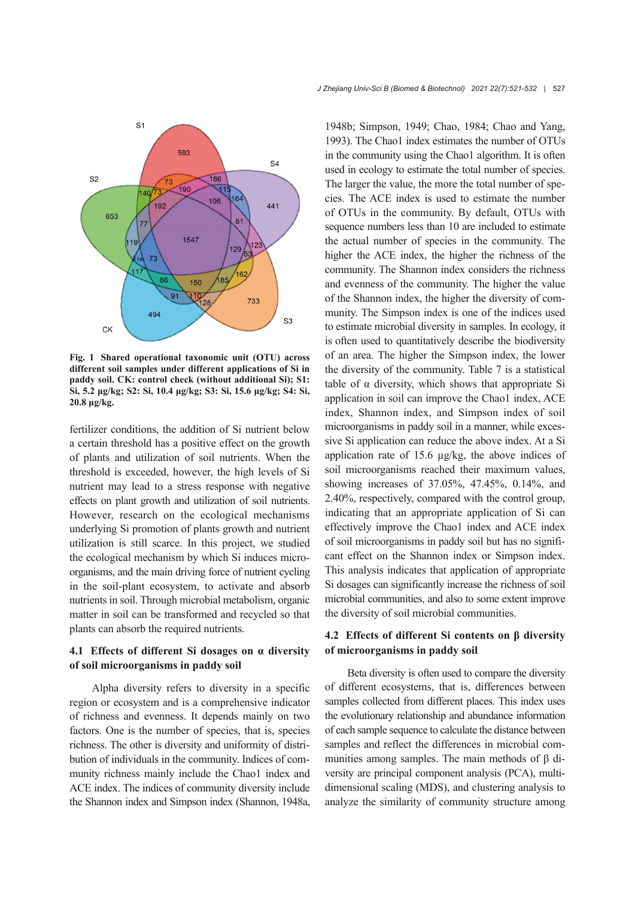

**Fig. 1 Shared operational taxonomic unit (OTU) across different soil samples under different applications of Si in paddy soil. CK: control check (without additional Si); S1: Si, 5.2 μg/kg; S2: Si, 10.4 μg/kg; S3: Si, 15.6 μg/kg; S4: Si, 20.8 μg/kg.**

fertilizer conditions, the addition of Si nutrient below a certain threshold has a positive effect on the growth of plants and utilization of soil nutrients. When the threshold is exceeded, however, the high levels of Si nutrient may lead to a stress response with negative effects on plant growth and utilization of soil nutrients. However, research on the ecological mechanisms underlying Si promotion of plants growth and nutrient utilization is still scarce. In this project, we studied the ecological mechanism by which Si induces micro‐ organisms, and the main driving force of nutrient cycling in the soil-plant ecosystem, to activate and absorb nutrients in soil. Through microbial metabolism, organic matter in soil can be transformed and recycled so that plants can absorb the required nutrients.

## **4.1 Effects of different Si dosages on α diversity of soil microorganisms in paddy soil**

Alpha diversity refers to diversity in a specific region or ecosystem and is a comprehensive indicator of richness and evenness. It depends mainly on two factors. One is the number of species, that is, species richness. The other is diversity and uniformity of distri‐ bution of individuals in the community. Indices of com‐ munity richness mainly include the Chao1 index and ACE index. The indices of community diversity include the Shannon index and Simpson index (Shannon, 1948a,

1948b; Simpson, 1949; Chao, 1984; Chao and Yang, 1993). The Chao1 index estimates the number of OTUs in the community using the Chao1 algorithm. It is often used in ecology to estimate the total number of species. The larger the value, the more the total number of species. The ACE index is used to estimate the number of OTUs in the community. By default, OTUs with sequence numbers less than 10 are included to estimate the actual number of species in the community. The higher the ACE index, the higher the richness of the community. The Shannon index considers the richness and evenness of the community. The higher the value of the Shannon index, the higher the diversity of com‐ munity. The Simpson index is one of the indices used to estimate microbial diversity in samples. In ecology, it is often used to quantitatively describe the biodiversity of an area. The higher the Simpson index, the lower the diversity of the community. Table 7 is a statistical table of  $\alpha$  diversity, which shows that appropriate Si application in soil can improve the Chao1 index, ACE index, Shannon index, and Simpson index of soil microorganisms in paddy soil in a manner, while excessive Si application can reduce the above index. At a Si application rate of 15.6 μg/kg, the above indices of soil microorganisms reached their maximum values, showing increases of 37.05%, 47.45%, 0.14%, and 2.40%, respectively, compared with the control group, indicating that an appropriate application of Si can effectively improve the Chao1 index and ACE index of soil microorganisms in paddy soil but has no signifi‐ cant effect on the Shannon index or Simpson index. This analysis indicates that application of appropriate Si dosages can significantly increase the richness of soil microbial communities, and also to some extent improve the diversity of soil microbial communities.

## **4.2 Effects of different Si contents on β diversity of microorganisms in paddy soil**

Beta diversity is often used to compare the diversity of different ecosystems, that is, differences between samples collected from different places. This index uses the evolutionary relationship and abundance information of each sample sequence to calculate the distance between samples and reflect the differences in microbial communities among samples. The main methods of β di‐ versity are principal component analysis (PCA), multidimensional scaling (MDS), and clustering analysis to analyze the similarity of community structure among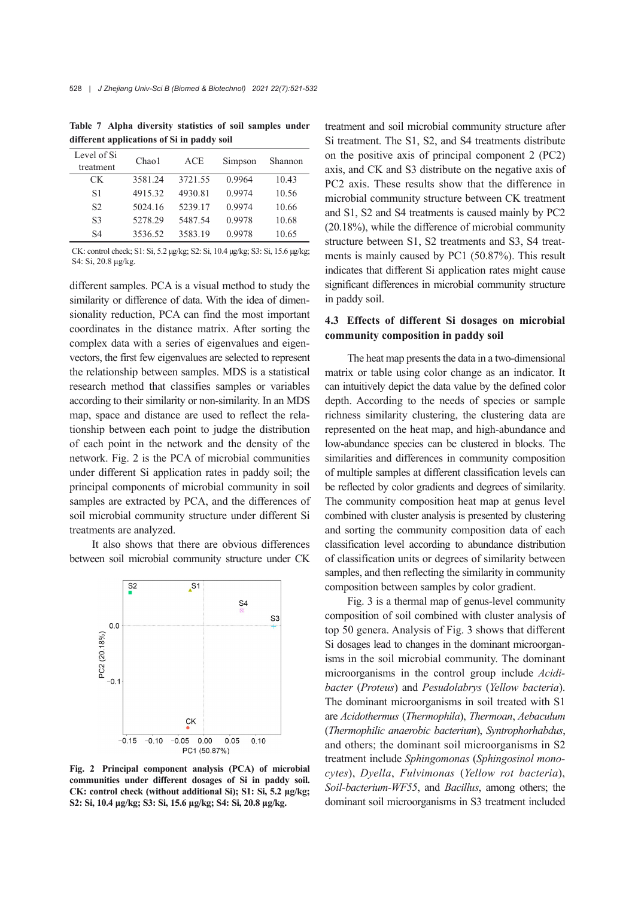| Level of Si<br>treatment | Chao1   | <b>ACE</b> | Simpson | Shannon |
|--------------------------|---------|------------|---------|---------|
| CK.                      | 3581.24 | 3721.55    | 0.9964  | 10.43   |
| S1                       | 4915.32 | 4930.81    | 0.9974  | 10.56   |
| S <sub>2</sub>           | 5024.16 | 5239.17    | 0.9974  | 10.66   |
| S <sub>3</sub>           | 5278.29 | 5487.54    | 0.9978  | 10.68   |
| S <sub>4</sub>           | 3536.52 | 3583.19    | 0.9978  | 10.65   |

**Table 7 Alpha diversity statistics of soil samples under different applications of Si in paddy soil**

CK: control check; S1: Si, 5.2 μg/kg; S2: Si, 10.4 μg/kg; S3: Si, 15.6 μg/kg; S4: Si, 20.8 μg/kg.

different samples. PCA is a visual method to study the similarity or difference of data. With the idea of dimensionality reduction, PCA can find the most important coordinates in the distance matrix. After sorting the complex data with a series of eigenvalues and eigenvectors, the first few eigenvalues are selected to represent the relationship between samples. MDS is a statistical research method that classifies samples or variables according to their similarity or non-similarity. In an MDS map, space and distance are used to reflect the relationship between each point to judge the distribution of each point in the network and the density of the network. Fig. 2 is the PCA of microbial communities under different Si application rates in paddy soil; the principal components of microbial community in soil samples are extracted by PCA, and the differences of soil microbial community structure under different Si treatments are analyzed.

It also shows that there are obvious differences between soil microbial community structure under CK



**Fig. 2 Principal component analysis (PCA) of microbial communities under different dosages of Si in paddy soil. CK: control check (without additional Si); S1: Si, 5.2 μg/kg; S2: Si, 10.4 μg/kg; S3: Si, 15.6 μg/kg; S4: Si, 20.8 μg/kg.**

treatment and soil microbial community structure after Si treatment. The S1, S2, and S4 treatments distribute on the positive axis of principal component 2 (PC2) axis, and CK and S3 distribute on the negative axis of PC2 axis. These results show that the difference in microbial community structure between CK treatment and S1, S2 and S4 treatments is caused mainly by PC2 (20.18%), while the difference of microbial community structure between S1, S2 treatments and S3, S4 treat‐ ments is mainly caused by PC1 (50.87%). This result indicates that different Si application rates might cause significant differences in microbial community structure in paddy soil.

## **4.3 Effects of different Si dosages on microbial community composition in paddy soil**

The heat map presents the data in a two-dimensional matrix or table using color change as an indicator. It can intuitively depict the data value by the defined color depth. According to the needs of species or sample richness similarity clustering, the clustering data are represented on the heat map, and high-abundance and low-abundance species can be clustered in blocks. The similarities and differences in community composition of multiple samples at different classification levels can be reflected by color gradients and degrees of similarity. The community composition heat map at genus level combined with cluster analysis is presented by clustering and sorting the community composition data of each classification level according to abundance distribution of classification units or degrees of similarity between samples, and then reflecting the similarity in community composition between samples by color gradient.

Fig. 3 is a thermal map of genus-level community composition of soil combined with cluster analysis of top 50 genera. Analysis of Fig. 3 shows that different Si dosages lead to changes in the dominant microorgan‐ isms in the soil microbial community. The dominant microorganisms in the control group include *Acidi‐ bacter* (*Proteus*) and *Pesudolabrys* (*Yellow bacteria*). The dominant microorganisms in soil treated with S1 are *Acidothermus* (*Thermophila*), *Thermoan*, *Aebaculum* (*Thermophilic anaerobic bacterium*), *Syntrophorhabdus*, and others; the dominant soil microorganisms in S2 treatment include *Sphingomonas* (*Sphingosinol mono‐ cytes*), *Dyella*, *Fulvimonas* (*Yellow rot bacteria*), *Soil-bacterium-WF55*, and *Bacillus*, among others; the dominant soil microorganisms in S3 treatment included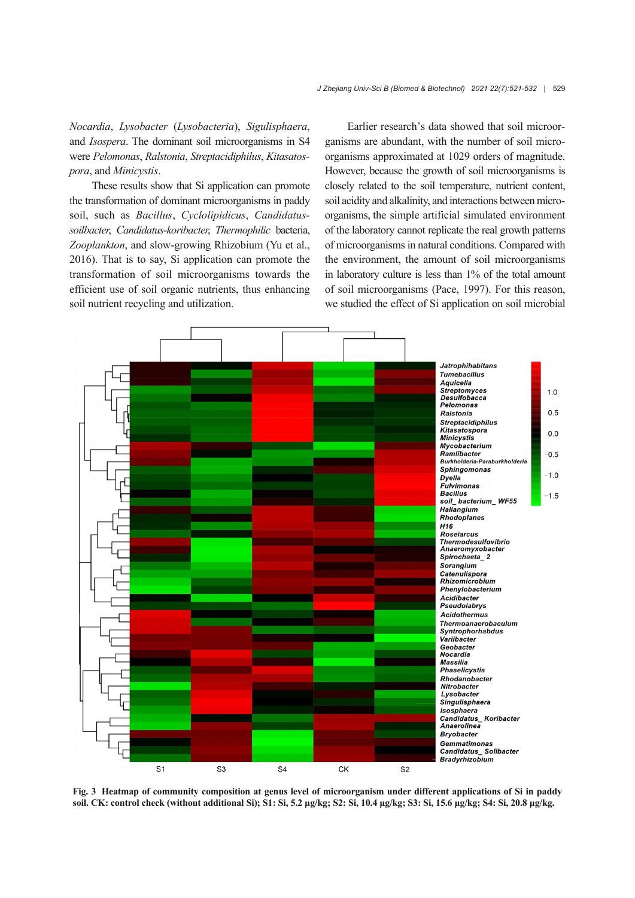*Nocardia*, *Lysobacter* (*Lysobacteria*), *Sigulisphaera*, and *Isospera*. The dominant soil microorganisms in S4 were *Pelomonas*, *Ralstonia*, *Streptacidiphilus*, *Kitasatos‐ pora*, and *Minicystis*.

These results show that Si application can promote the transformation of dominant microorganisms in paddy soil, such as *Bacillus*, *Cyclolipidicus*, *Candidatussoilbacter*, *Candidatus-koribacter*, *Thermophilic* bacteria, *Zooplankton*, and slow-growing Rhizobium (Yu et al., 2016). That is to say, Si application can promote the transformation of soil microorganisms towards the efficient use of soil organic nutrients, thus enhancing soil nutrient recycling and utilization.

Earlier research's data showed that soil microor‐ ganisms are abundant, with the number of soil micro‐ organisms approximated at 1029 orders of magnitude. However, because the growth of soil microorganisms is closely related to the soil temperature, nutrient content, soil acidity and alkalinity, and interactions between microorganisms, the simple artificial simulated environment of the laboratory cannot replicate the real growth patterns of microorganisms in natural conditions. Compared with the environment, the amount of soil microorganisms in laboratory culture is less than 1% of the total amount of soil microorganisms (Pace, 1997). For this reason, we studied the effect of Si application on soil microbial



**Fig. 3 Heatmap of community composition at genus level of microorganism under different applications of Si in paddy** soil. CK: control check (without additional Si); S1: Si, 5.2 µg/kg; S2: Si, 10.4 µg/kg; S3: Si, 15.6 µg/kg; S4: Si, 20.8 µg/kg.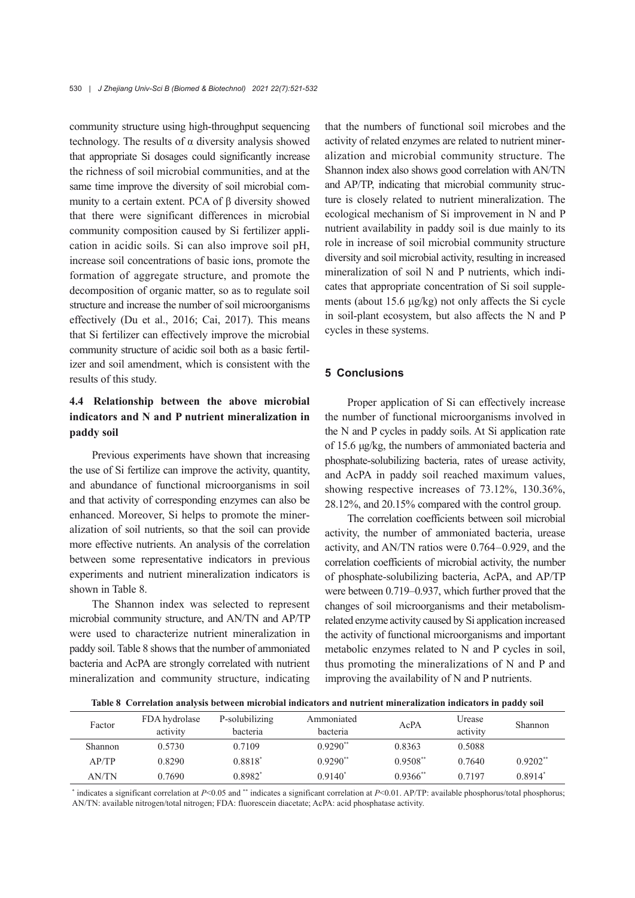community structure using high-throughput sequencing technology. The results of  $\alpha$  diversity analysis showed that appropriate Si dosages could significantly increase the richness of soil microbial communities, and at the same time improve the diversity of soil microbial community to a certain extent. PCA of β diversity showed that there were significant differences in microbial community composition caused by Si fertilizer appli‐ cation in acidic soils. Si can also improve soil pH, increase soil concentrations of basic ions, promote the formation of aggregate structure, and promote the decomposition of organic matter, so as to regulate soil structure and increase the number of soil microorganisms effectively (Du et al., 2016; Cai, 2017). This means that Si fertilizer can effectively improve the microbial community structure of acidic soil both as a basic fertil‐ izer and soil amendment, which is consistent with the results of this study.

# **4.4 Relationship between the above microbial indicators and N and P nutrient mineralization in paddy soil**

Previous experiments have shown that increasing the use of Si fertilize can improve the activity, quantity, and abundance of functional microorganisms in soil and that activity of corresponding enzymes can also be enhanced. Moreover, Si helps to promote the mineralization of soil nutrients, so that the soil can provide more effective nutrients. An analysis of the correlation between some representative indicators in previous experiments and nutrient mineralization indicators is shown in Table 8.

The Shannon index was selected to represent microbial community structure, and AN/TN and AP/TP were used to characterize nutrient mineralization in paddy soil. Table 8 shows that the number of ammoniated bacteria and AcPA are strongly correlated with nutrient mineralization and community structure, indicating

that the numbers of functional soil microbes and the activity of related enzymes are related to nutrient miner‐ alization and microbial community structure. The Shannon index also shows good correlation with AN/TN and AP/TP, indicating that microbial community structure is closely related to nutrient mineralization. The ecological mechanism of Si improvement in N and P nutrient availability in paddy soil is due mainly to its role in increase of soil microbial community structure diversity and soil microbial activity, resulting in increased mineralization of soil N and P nutrients, which indicates that appropriate concentration of Si soil supple‐ ments (about 15.6 μg/kg) not only affects the Si cycle in soil-plant ecosystem, but also affects the N and P cycles in these systems.

## **5 Conclusions**

Proper application of Si can effectively increase the number of functional microorganisms involved in the N and P cycles in paddy soils. At Si application rate of 15.6 μg/kg, the numbers of ammoniated bacteria and phosphate-solubilizing bacteria, rates of urease activity, and AcPA in paddy soil reached maximum values, showing respective increases of 73.12%, 130.36%, 28.12%, and 20.15% compared with the control group.

The correlation coefficients between soil microbial activity, the number of ammoniated bacteria, urease activity, and AN/TN ratios were 0.764–0.929, and the correlation coefficients of microbial activity, the number of phosphate-solubilizing bacteria, AcPA, and AP/TP were between 0.719–0.937, which further proved that the changes of soil microorganisms and their metabolismrelated enzyme activity caused by Si application increased the activity of functional microorganisms and important metabolic enzymes related to N and P cycles in soil, thus promoting the mineralizations of N and P and improving the availability of N and P nutrients.

**Table 8 Correlation analysis between microbial indicators and nutrient mineralization indicators in paddy soil**

| Factor       | FDA hydrolase<br>activity | P-solubilizing<br>bacteria | Ammoniated<br>bacteria | AcPA                   | Urease<br>activity | <b>Shannon</b> |
|--------------|---------------------------|----------------------------|------------------------|------------------------|--------------------|----------------|
| Shannon      | 0.5730                    | 0.7109                     | $0.9290**$             | 0.8363                 | 0.5088             |                |
| AP/TP        | 0.8290                    | 0.8818*                    | $0.9290**$             | $0.9508**$             | 0.7640             | $0.9202**$     |
| <b>AN/TN</b> | 0.7690                    | 0.8982*                    | $0.9140^*$             | $0.9366$ <sup>**</sup> | 0.7197             | $0.8914*$      |

\* indicates a significant correlation at *P*<0.05 and \*\* indicates a significant correlation at *P*<0.01. AP/TP: available phosphorus/total phosphorus; AN/TN: available nitrogen/total nitrogen; FDA: fluorescein diacetate; AcPA: acid phosphatase activity.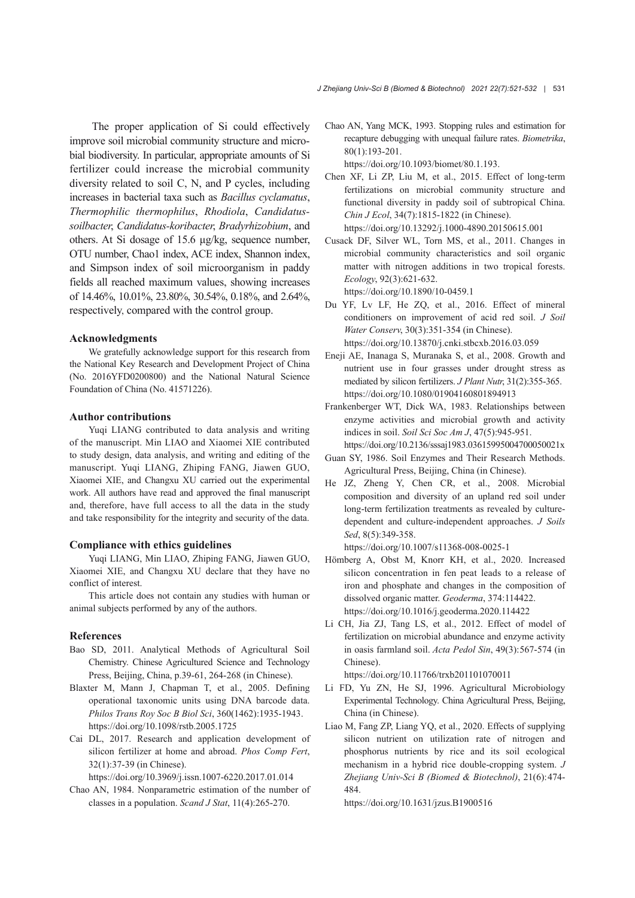The proper application of Si could effectively improve soil microbial community structure and micro‐ bial biodiversity. In particular, appropriate amounts of Si fertilizer could increase the microbial community diversity related to soil C, N, and P cycles, including increases in bacterial taxa such as *Bacillus cyclamatus*, *Thermophilic thermophilus*, *Rhodiola*, *Candidatussoilbacter*, *Candidatus-koribacter*, *Bradyrhizobium*, and others. At Si dosage of 15.6 μg/kg, sequence number, OTU number, Chao1 index, ACE index, Shannon index, and Simpson index of soil microorganism in paddy fields all reached maximum values, showing increases of 14.46%, 10.01%, 23.80%, 30.54%, 0.18%, and 2.64%, respectively, compared with the control group.

#### **Acknowledgments**

We gratefully acknowledge support for this research from the National Key Research and Development Project of China (No. 2016YFD0200800) and the National Natural Science Foundation of China (No. 41571226).

#### **Author contributions**

Yuqi LIANG contributed to data analysis and writing of the manuscript. Min LIAO and Xiaomei XIE contributed to study design, data analysis, and writing and editing of the manuscript. Yuqi LIANG, Zhiping FANG, Jiawen GUO, Xiaomei XIE, and Changxu XU carried out the experimental work. All authors have read and approved the final manuscript and, therefore, have full access to all the data in the study and take responsibility for the integrity and security of the data.

#### **Compliance with ethics guidelines**

Yuqi LIANG, Min LIAO, Zhiping FANG, Jiawen GUO, Xiaomei XIE, and Changxu XU declare that they have no conflict of interest.

This article does not contain any studies with human or animal subjects performed by any of the authors.

#### **References**

- Bao SD, 2011. Analytical Methods of Agricultural Soil Chemistry. Chinese Agricultured Science and Technology Press, Beijing, China, p.39-61, 264-268 (in Chinese).
- Blaxter M, Mann J, Chapman T, et al., 2005. Defining operational taxonomic units using DNA barcode data. *Philos Trans Roy Soc B Biol Sci*, 360(1462):1935-1943. https://doi.org/10.1098/rstb.2005.1725
- Cai DL, 2017. Research and application development of silicon fertilizer at home and abroad. *Phos Comp Fert*, 32(1):37-39 (in Chinese).

https://doi.org/10.3969/j.issn.1007-6220.2017.01.014

Chao AN, 1984. Nonparametric estimation of the number of classes in a population. *Scand J Stat*, 11(4):265-270.

Chao AN, Yang MCK, 1993. Stopping rules and estimation for recapture debugging with unequal failure rates. *Biometrika*, 80(1):193-201.

https://doi.org/10.1093/biomet/80.1.193.

- Chen XF, Li ZP, Liu M, et al., 2015. Effect of long-term fertilizations on microbial community structure and functional diversity in paddy soil of subtropical China. *Chin J Ecol*, 34(7):1815-1822 (in Chinese). https://doi.org/10.13292/j.1000-4890.20150615.001
- Cusack DF, Silver WL, Torn MS, et al., 2011. Changes in microbial community characteristics and soil organic matter with nitrogen additions in two tropical forests. *Ecology*, 92(3):621-632. https://doi.org/10.1890/10-0459.1
- Du YF, Lv LF, He ZQ, et al., 2016. Effect of mineral conditioners on improvement of acid red soil. *J Soil Water Conserv*, 30(3):351-354 (in Chinese). https://doi.org/10.13870/j.cnki.stbcxb.2016.03.059
- Eneji AE, Inanaga S, Muranaka S, et al., 2008. Growth and nutrient use in four grasses under drought stress as mediated by silicon fertilizers. *J Plant Nutr*, 31(2):355-365. https://doi.org/10.1080/01904160801894913
- Frankenberger WT, Dick WA, 1983. Relationships between enzyme activities and microbial growth and activity indices in soil. *Soil Sci Soc Am J*, 47(5):945-951. https://doi.org/10.2136/sssaj1983.03615995004700050021x
- Guan SY, 1986. Soil Enzymes and Their Research Methods. Agricultural Press, Beijing, China (in Chinese).
- He JZ, Zheng Y, Chen CR, et al., 2008. Microbial composition and diversity of an upland red soil under long-term fertilization treatments as revealed by culturedependent and culture-independent approaches. *J Soils Sed*, 8(5):349-358.

https://doi.org/10.1007/s11368-008-0025-1

- Hömberg A, Obst M, Knorr KH, et al., 2020. Increased silicon concentration in fen peat leads to a release of iron and phosphate and changes in the composition of dissolved organic matter. *Geoderma*, 374:114422. https://doi.org/10.1016/j.geoderma.2020.114422
- Li CH, Jia ZJ, Tang LS, et al., 2012. Effect of model of fertilization on microbial abundance and enzyme activity in oasis farmland soil. *Acta Pedol Sin*, 49(3):567-574 (in Chinese).

https://doi.org/10.11766/trxb201101070011

- Li FD, Yu ZN, He SJ, 1996. Agricultural Microbiology Experimental Technology. China Agricultural Press, Beijing, China (in Chinese).
- Liao M, Fang ZP, Liang YQ, et al., 2020. Effects of supplying silicon nutrient on utilization rate of nitrogen and phosphorus nutrients by rice and its soil ecological mechanism in a hybrid rice double-cropping system. *J Zhejiang Univ-Sci B (Biomed & Biotechnol)*, 21(6):474- 484.

https://doi.org/10.1631/jzus.B1900516